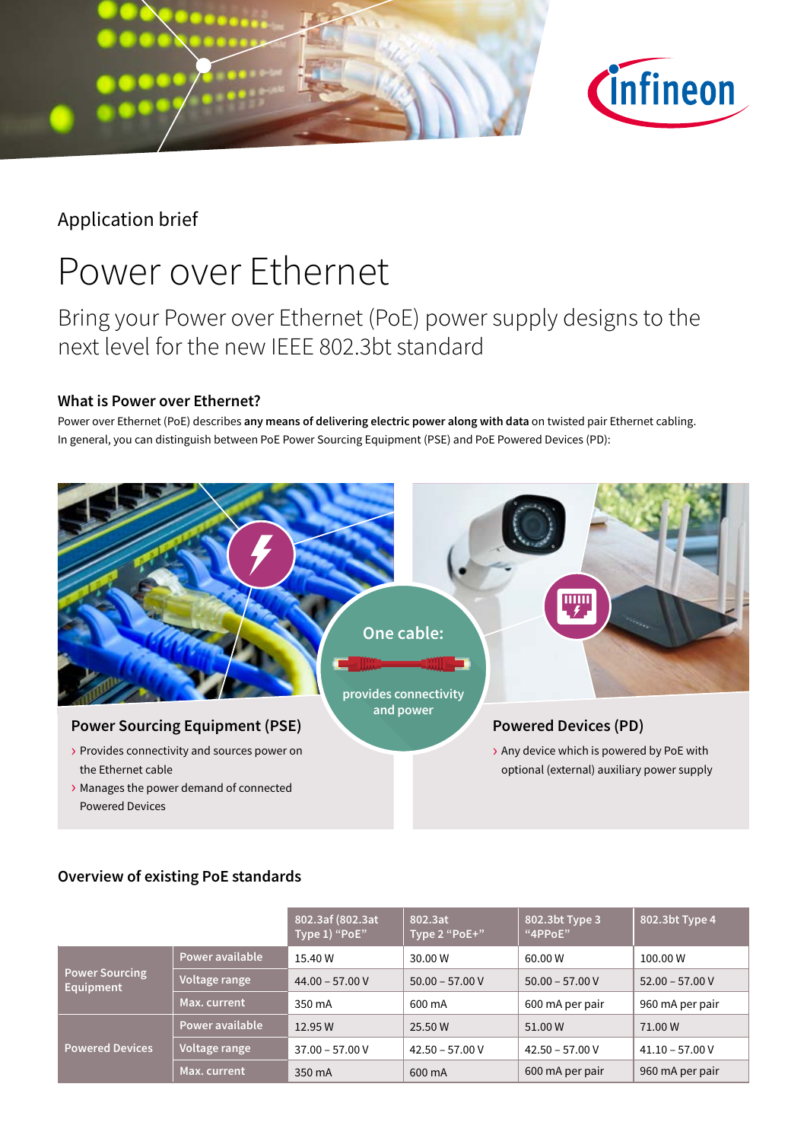

# Application brief

# Power over Ethernet

# Bring your Power over Ethernet (PoE) power supply designs to the next level for the new IEEE 802.3bt standard

# **What is Power over Ethernet?**

Power over Ethernet (PoE) describes **any means of delivering electric power along with data** on twisted pair Ethernet cabling. In general, you can distinguish between PoE Power Sourcing Equipment (PSE) and PoE Powered Devices (PD):



# **Overview of existing PoE standards**

|                                    |                 | 802.3af (802.3at<br>Type 1) "PoE" | 802.3at<br>Type 2 "PoE+" | 802.3bt Type 3<br>"4PPoE" | 802.3bt Type 4    |
|------------------------------------|-----------------|-----------------------------------|--------------------------|---------------------------|-------------------|
| <b>Power Sourcing</b><br>Equipment | Power available | 15.40 W                           | 30.00 W                  | 60.00 W                   | 100.00 W          |
|                                    | Voltage range   | $44.00 - 57.00 V$                 | $50.00 - 57.00 V$        | $50.00 - 57.00 V$         | $52.00 - 57.00 V$ |
|                                    | Max. current    | 350 mA                            | 600 mA                   | 600 mA per pair           | 960 mA per pair   |
|                                    | Power available | 12.95 W                           | 25.50 W                  | 51.00 W                   | 71.00 W           |
| <b>Powered Devices</b>             | Voltage range   | $37.00 - 57.00 V$                 | $42.50 - 57.00 V$        | $42.50 - 57.00 V$         | $41.10 - 57.00 V$ |
|                                    | Max. current    | 350 mA                            | 600 mA                   | 600 mA per pair           | 960 mA per pair   |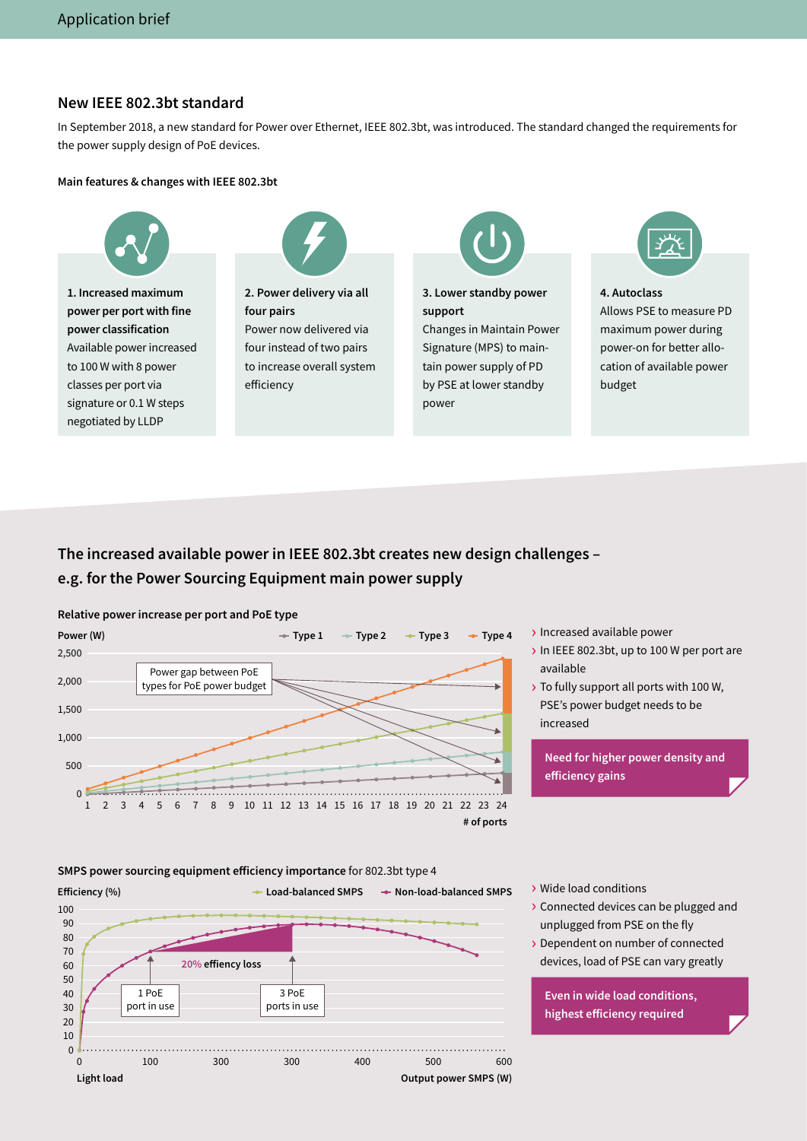#### **New IEEE 802.3bt standard**

In September 2018, a new standard for Power over Ethernet, IEEE 802.3bt, was introduced. The standard changed the requirements for the power supply design of PoE devices.

#### **Main features & changes with IEEE 802.3bt**



**1. Increased maximum power per port with fine power classification** Available power increased to 100 W with 8 power classes per port via signature or 0.1 W steps negotiated by LLDP



**2. Power delivery via all four pairs**  Power now delivered via four instead of two pairs to increase overall system efficiency



**3. Lower standby power support**

Changes in Maintain Power Signature (MPS) to maintain power supply of PD by PSE at lower standby power



**4. Autoclass** 

Allows PSE to measure PD maximum power during power-on for better allocation of available power budget

# **The increased available power in IEEE 802.3bt creates new design challenges – e.g. for the Power Sourcing Equipment main power supply**



**Relative power increase per port and PoE type**

- › Increased available power
- › In IEEE 802.3bt, up to 100 W per port are available
- › To fully support all ports with 100 W, PSE's power budget needs to be increased

**Need for higher power density and efficiency gains**

#### **SMPS power sourcing equipment efficiency importance** for 802.3bt type 4



- › Wide load conditions
- › Connected devices can be plugged and unplugged from PSE on the fly
- › Dependent on number of connected devices, load of PSE can vary greatly

**Even in wide load conditions, highest efficiency required**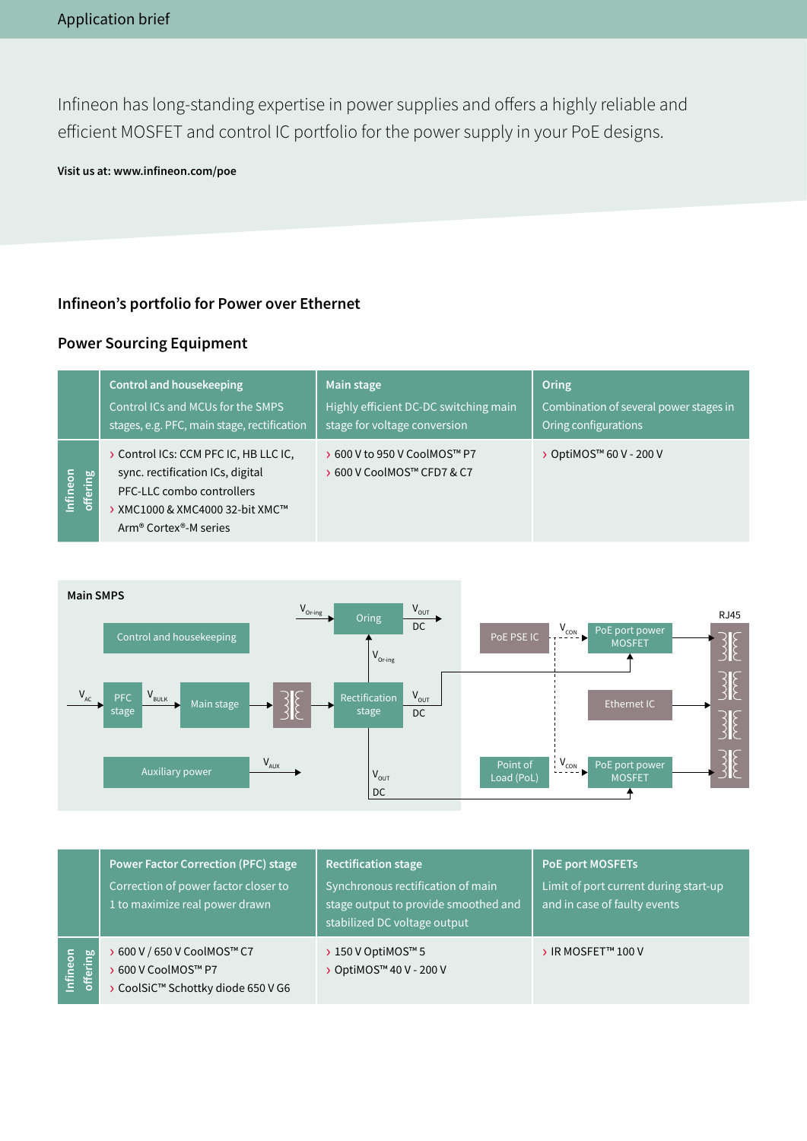Infineon has long-standing expertise in power supplies and offers a highly reliable and efficient MOSFET and control IC portfolio for the power supply in your PoE designs.

**Visit us at: www.infineon.com/poe**

# **Infineon's portfolio for Power over Ethernet**

## **Power Sourcing Equipment**

|                      | <b>Control and housekeeping</b>                                                                                                                                                             | Main stage                                                 | Oring                                  |
|----------------------|---------------------------------------------------------------------------------------------------------------------------------------------------------------------------------------------|------------------------------------------------------------|----------------------------------------|
|                      | Control ICs and MCUs for the SMPS                                                                                                                                                           | Highly efficient DC-DC switching main                      | Combination of several power stages in |
|                      | stages, e.g. PFC, main stage, rectification                                                                                                                                                 | stage for voltage conversion                               | Oring configurations                   |
| offering<br>Infineon | > Control ICs: CCM PFC IC, HB LLC IC,<br>sync. rectification ICs, digital<br>PFC-LLC combo controllers<br>> XMC1000 & XMC4000 32-bit XMC™<br>Arm <sup>®</sup> Cortex <sup>®</sup> -M series | > 600 V to 950 V CoolMOS™ P7<br>> 600 V CoolMOS™ CFD7 & C7 | > OptiMOS™ 60 V - 200 V                |



|                      | <b>Power Factor Correction (PFC) stage</b><br>Correction of power factor closer to<br>1 to maximize real power drawn | <b>Rectification stage</b><br>Synchronous rectification of main<br>stage output to provide smoothed and<br>stabilized DC voltage output | <b>PoE port MOSFETs</b><br>Limit of port current during start-up<br>and in case of faulty events |
|----------------------|----------------------------------------------------------------------------------------------------------------------|-----------------------------------------------------------------------------------------------------------------------------------------|--------------------------------------------------------------------------------------------------|
| Infineon<br>offering | 600 V / 650 V CoolMOS™ C7<br>> 600 V CoolMOS™ P7<br>> CoolSiC™ Schottky diode 650 V G6                               | > 150 V OptiMOS™ 5<br>> OptiMOS™ 40 V - 200 V                                                                                           | > IR MOSFET™ 100 V                                                                               |